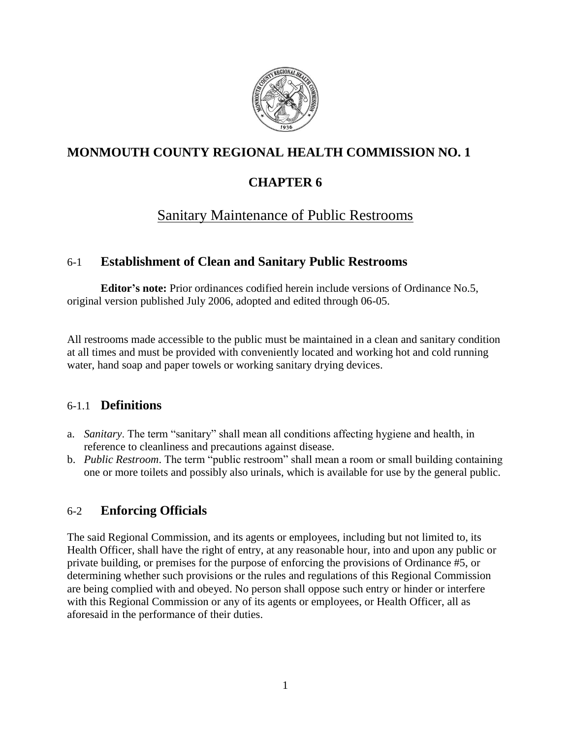

# **MONMOUTH COUNTY REGIONAL HEALTH COMMISSION NO. 1**

## **CHAPTER 6**

# Sanitary Maintenance of Public Restrooms

## 6-1 **Establishment of Clean and Sanitary Public Restrooms**

**Editor's note:** Prior ordinances codified herein include versions of Ordinance No.5, original version published July 2006, adopted and edited through 06-05.

All restrooms made accessible to the public must be maintained in a clean and sanitary condition at all times and must be provided with conveniently located and working hot and cold running water, hand soap and paper towels or working sanitary drying devices.

## 6-1.1 **Definitions**

- a. *Sanitary*. The term "sanitary" shall mean all conditions affecting hygiene and health, in reference to cleanliness and precautions against disease.
- b. *Public Restroom*. The term "public restroom" shall mean a room or small building containing one or more toilets and possibly also urinals, which is available for use by the general public.

## 6-2 **Enforcing Officials**

The said Regional Commission, and its agents or employees, including but not limited to, its Health Officer, shall have the right of entry, at any reasonable hour, into and upon any public or private building, or premises for the purpose of enforcing the provisions of Ordinance #5, or determining whether such provisions or the rules and regulations of this Regional Commission are being complied with and obeyed. No person shall oppose such entry or hinder or interfere with this Regional Commission or any of its agents or employees, or Health Officer, all as aforesaid in the performance of their duties.